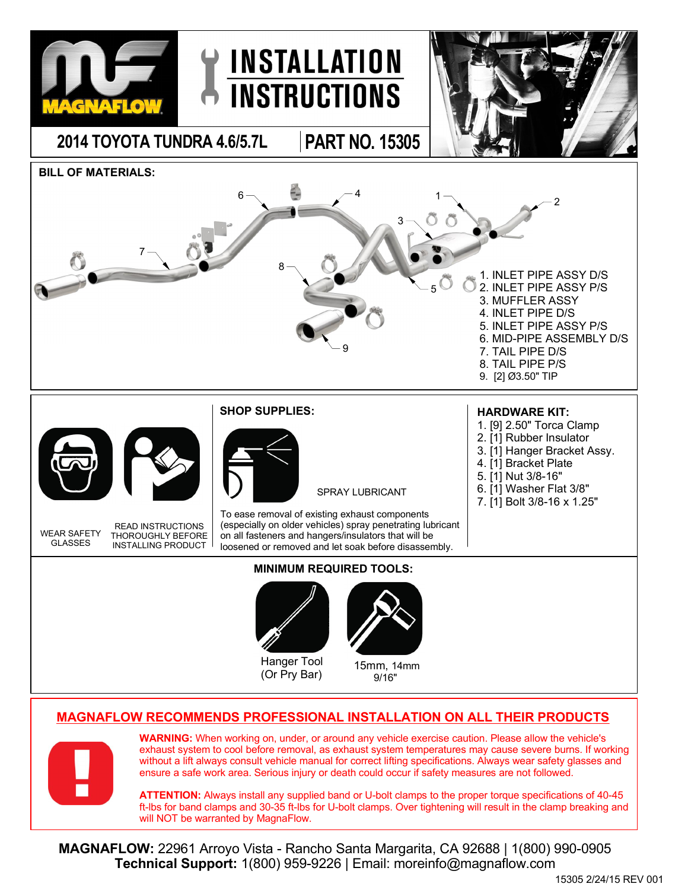

## **MAGNAFLOW RECOMMENDS PROFESSIONAL INSTALLATION ON ALL THEIR PRODUCTS**



**WARNING:** When working on, under, or around any vehicle exercise caution. Please allow the vehicle's exhaust system to cool before removal, as exhaust system temperatures may cause severe burns. If working without a lift always consult vehicle manual for correct lifting specifications. Always wear safety glasses and ensure a safe work area. Serious injury or death could occur if safety measures are not followed.

**ATTENTION:** Always install any supplied band or U-bolt clamps to the proper torque specifications of 40-45 ft-lbs for band clamps and 30-35 ft-lbs for U-bolt clamps. Over tightening will result in the clamp breaking and will NOT be warranted by MagnaFlow.

**MAGNAFLOW:** 22961 Arroyo Vista - Rancho Santa Margarita, CA 92688 | 1(800) 990-0905 **Technical Support:** 1(800) 959-9226 | Email: moreinfo@magnaflow.com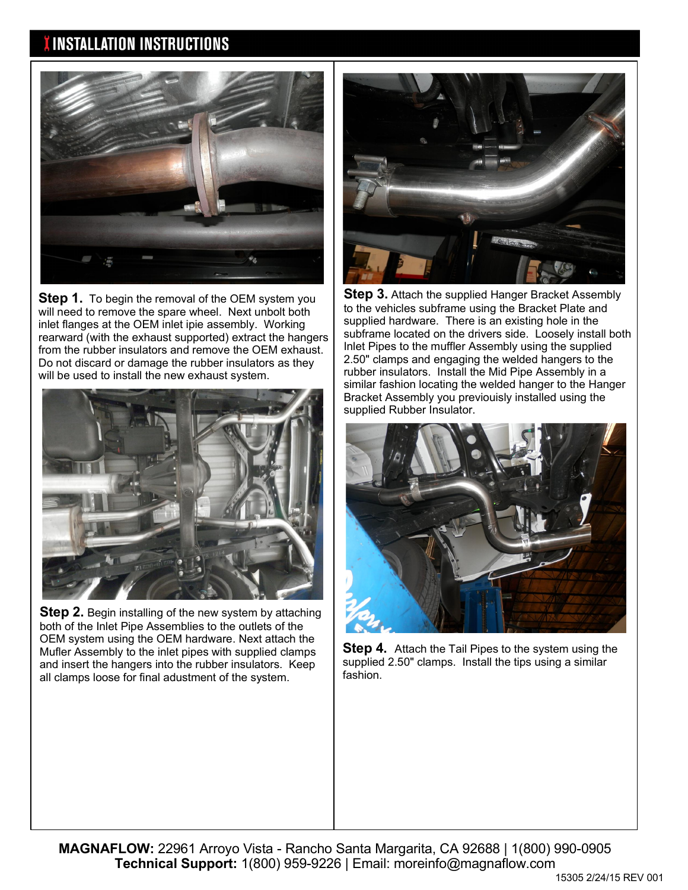## **INSTALLATION INSTRUCTIONS**



**Step 1.** To begin the removal of the OEM system you will need to remove the spare wheel. Next unbolt both inlet flanges at the OEM inlet ipie assembly. Working rearward (with the exhaust supported) extract the hangers from the rubber insulators and remove the OEM exhaust. Do not discard or damage the rubber insulators as they will be used to install the new exhaust system.



**Step 2.** Begin installing of the new system by attaching both of the Inlet Pipe Assemblies to the outlets of the OEM system using the OEM hardware. Next attach the Mufler Assembly to the inlet pipes with supplied clamps and insert the hangers into the rubber insulators. Keep all clamps loose for final adustment of the system.



**Step 3.** Attach the supplied Hanger Bracket Assembly to the vehicles subframe using the Bracket Plate and supplied hardware. There is an existing hole in the subframe located on the drivers side. Loosely install both Inlet Pipes to the muffler Assembly using the supplied 2.50" clamps and engaging the welded hangers to the rubber insulators. Install the Mid Pipe Assembly in a similar fashion locating the welded hanger to the Hanger Bracket Assembly you previouisly installed using the supplied Rubber Insulator.



**Step 4.** Attach the Tail Pipes to the system using the supplied 2.50" clamps. Install the tips using a similar fashion.

**MAGNAFLOW:** 22961 Arroyo Vista - Rancho Santa Margarita, CA 92688 | 1(800) 990-0905 **Technical Support:** 1(800) 959-9226 | Email: moreinfo@magnaflow.com